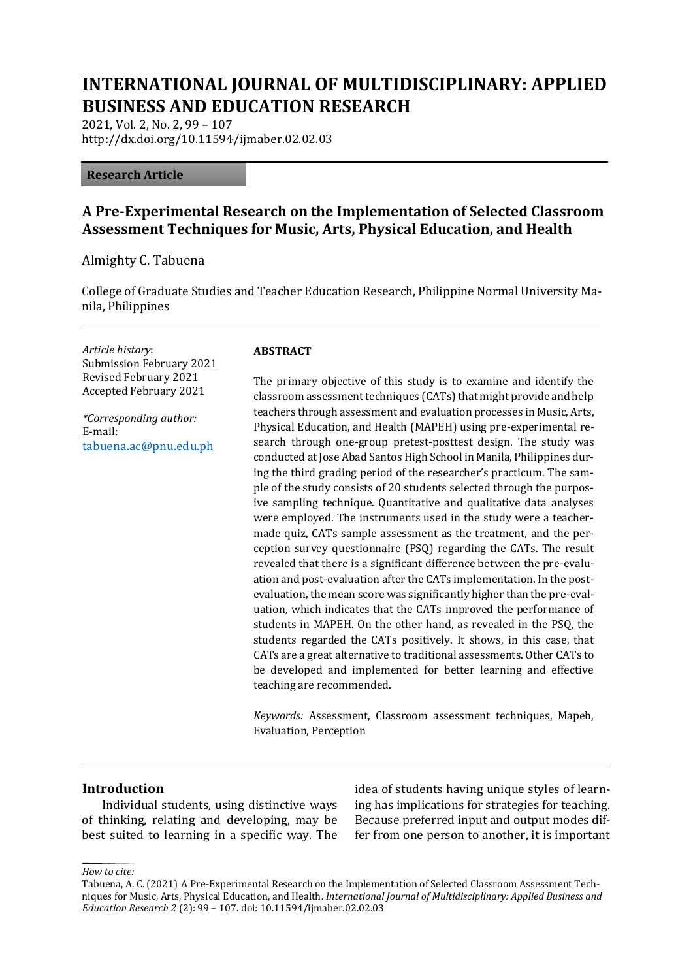# **INTERNATIONAL JOURNAL OF MULTIDISCIPLINARY: APPLIED BUSINESS AND EDUCATION RESEARCH**

2021, Vol. 2, No. 2, 99 – 107 http://dx.doi.org/10.11594/ijmaber.02.02.03

#### **Research Article**

# **A Pre-Experimental Research on the Implementation of Selected Classroom Assessment Techniques for Music, Arts, Physical Education, and Health**

Almighty C. Tabuena

College of Graduate Studies and Teacher Education Research, Philippine Normal University Manila, Philippines

*Article history*: Submission February 2021 Revised February 2021 Accepted February 2021

*\*Corresponding author:* E-mail: [tabuena.ac@pnu.edu.ph](mailto:tabuena.ac@pnu.edu.ph)

#### **ABSTRACT**

The primary objective of this study is to examine and identify the classroom assessment techniques (CATs) that might provide and help teachers through assessment and evaluation processes in Music, Arts, Physical Education, and Health (MAPEH) using pre-experimental research through one-group pretest-posttest design. The study was conducted at Jose Abad Santos High School in Manila, Philippines during the third grading period of the researcher's practicum. The sample of the study consists of 20 students selected through the purposive sampling technique. Quantitative and qualitative data analyses were employed. The instruments used in the study were a teachermade quiz, CATs sample assessment as the treatment, and the perception survey questionnaire (PSQ) regarding the CATs. The result revealed that there is a significant difference between the pre-evaluation and post-evaluation after the CATs implementation. In the postevaluation, the mean score was significantly higher than the pre-evaluation, which indicates that the CATs improved the performance of students in MAPEH. On the other hand, as revealed in the PSQ, the students regarded the CATs positively. It shows, in this case, that CATs are a great alternative to traditional assessments. Other CATs to be developed and implemented for better learning and effective teaching are recommended.

*Keywords:* Assessment, Classroom assessment techniques, Mapeh, Evaluation, Perception

#### **Introduction**

Individual students, using distinctive ways of thinking, relating and developing, may be best suited to learning in a specific way. The idea of students having unique styles of learning has implications for strategies for teaching. Because preferred input and output modes differ from one person to another, it is important

*How to cite:*

Tabuena, A. C. (2021) A Pre-Experimental Research on the Implementation of Selected Classroom Assessment Techniques for Music, Arts, Physical Education, and Health. *International Journal of Multidisciplinary: Applied Business and Education Research 2* (2): 99 – 107. doi: 10.11594/ijmaber.02.02.03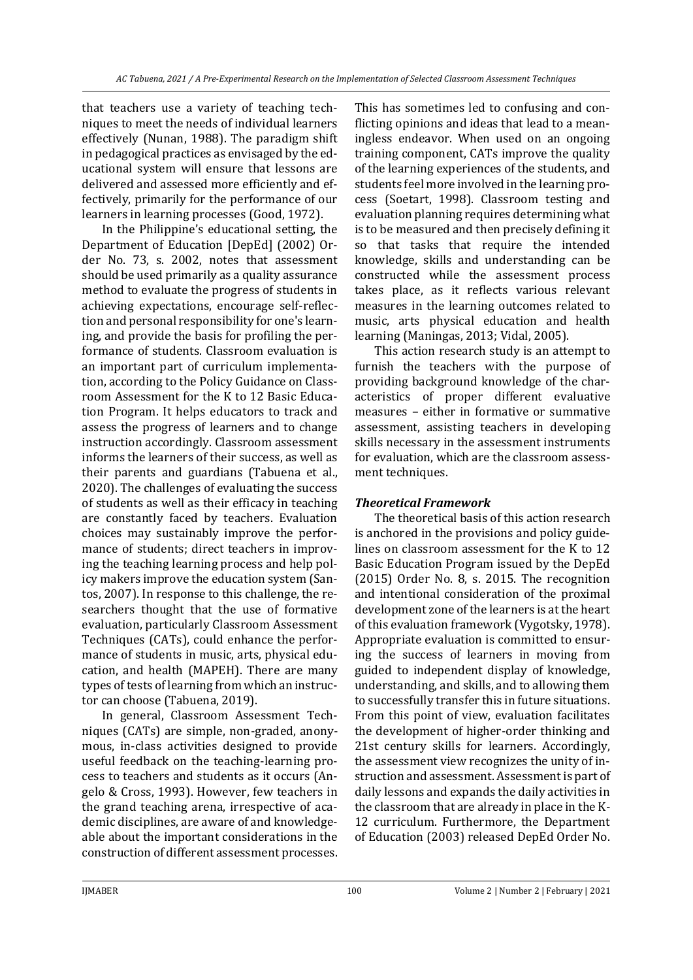that teachers use a variety of teaching techniques to meet the needs of individual learners effectively (Nunan, 1988). The paradigm shift in pedagogical practices as envisaged by the educational system will ensure that lessons are delivered and assessed more efficiently and effectively, primarily for the performance of our learners in learning processes (Good, 1972).

In the Philippine's educational setting, the Department of Education [DepEd] (2002) Order No. 73, s. 2002, notes that assessment should be used primarily as a quality assurance method to evaluate the progress of students in achieving expectations, encourage self-reflection and personal responsibility for one's learning, and provide the basis for profiling the performance of students. Classroom evaluation is an important part of curriculum implementation, according to the Policy Guidance on Classroom Assessment for the K to 12 Basic Education Program. It helps educators to track and assess the progress of learners and to change instruction accordingly. Classroom assessment informs the learners of their success, as well as their parents and guardians (Tabuena et al., 2020). The challenges of evaluating the success of students as well as their efficacy in teaching are constantly faced by teachers. Evaluation choices may sustainably improve the performance of students; direct teachers in improving the teaching learning process and help policy makers improve the education system (Santos, 2007). In response to this challenge, the researchers thought that the use of formative evaluation, particularly Classroom Assessment Techniques (CATs), could enhance the performance of students in music, arts, physical education, and health (MAPEH). There are many types of tests of learning from which an instructor can choose (Tabuena, 2019).

In general, Classroom Assessment Techniques (CATs) are simple, non-graded, anonymous, in-class activities designed to provide useful feedback on the teaching-learning process to teachers and students as it occurs (Angelo & Cross, 1993). However, few teachers in the grand teaching arena, irrespective of academic disciplines, are aware of and knowledgeable about the important considerations in the construction of different assessment processes.

This has sometimes led to confusing and conflicting opinions and ideas that lead to a meaningless endeavor. When used on an ongoing training component, CATs improve the quality of the learning experiences of the students, and students feel more involved in the learning process (Soetart, 1998). Classroom testing and evaluation planning requires determining what is to be measured and then precisely defining it so that tasks that require the intended knowledge, skills and understanding can be constructed while the assessment process takes place, as it reflects various relevant measures in the learning outcomes related to music, arts physical education and health learning (Maningas, 2013; Vidal, 2005).

This action research study is an attempt to furnish the teachers with the purpose of providing background knowledge of the characteristics of proper different evaluative measures – either in formative or summative assessment, assisting teachers in developing skills necessary in the assessment instruments for evaluation, which are the classroom assessment techniques.

## *Theoretical Framework*

The theoretical basis of this action research is anchored in the provisions and policy guidelines on classroom assessment for the K to 12 Basic Education Program issued by the DepEd (2015) Order No. 8, s. 2015. The recognition and intentional consideration of the proximal development zone of the learners is at the heart of this evaluation framework (Vygotsky, 1978). Appropriate evaluation is committed to ensuring the success of learners in moving from guided to independent display of knowledge, understanding, and skills, and to allowing them to successfully transfer this in future situations. From this point of view, evaluation facilitates the development of higher-order thinking and 21st century skills for learners. Accordingly, the assessment view recognizes the unity of instruction and assessment. Assessment is part of daily lessons and expands the daily activities in the classroom that are already in place in the K-12 curriculum. Furthermore, the Department of Education (2003) released DepEd Order No.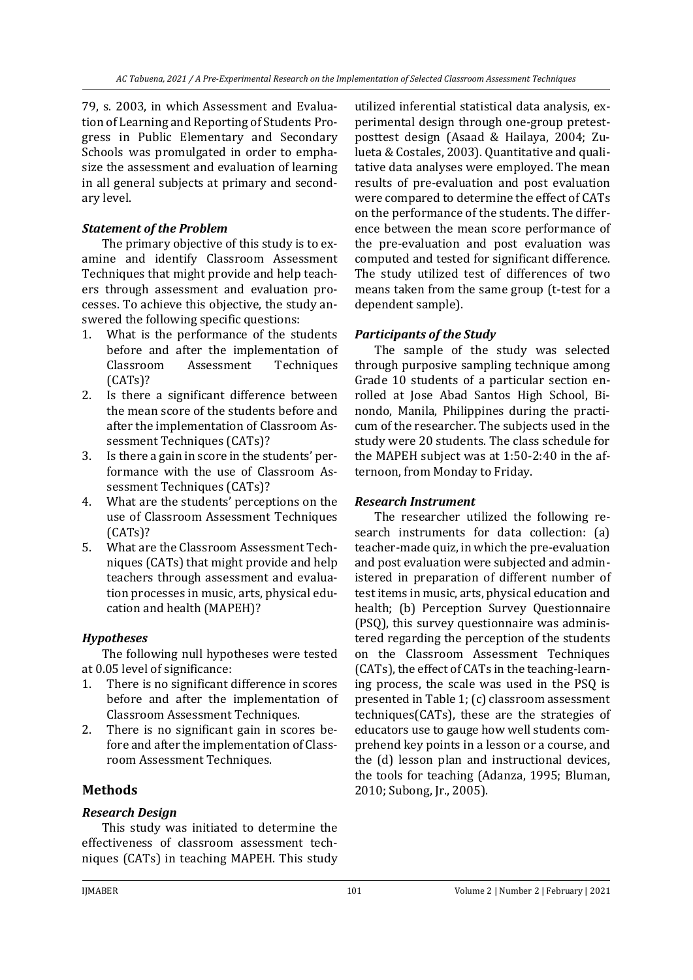79, s. 2003, in which Assessment and Evaluation of Learning and Reporting of Students Progress in Public Elementary and Secondary Schools was promulgated in order to emphasize the assessment and evaluation of learning in all general subjects at primary and secondary level.

## *Statement of the Problem*

The primary objective of this study is to examine and identify Classroom Assessment Techniques that might provide and help teachers through assessment and evaluation processes. To achieve this objective, the study answered the following specific questions:

- 1. What is the performance of the students before and after the implementation of Classroom Assessment Techniques (CATs)?
- 2. Is there a significant difference between the mean score of the students before and after the implementation of Classroom Assessment Techniques (CATs)?
- 3. Is there a gain in score in the students' performance with the use of Classroom Assessment Techniques (CATs)?
- 4. What are the students' perceptions on the use of Classroom Assessment Techniques (CATs)?
- 5. What are the Classroom Assessment Techniques (CATs) that might provide and help teachers through assessment and evaluation processes in music, arts, physical education and health (MAPEH)?

# *Hypotheses*

The following null hypotheses were tested at 0.05 level of significance:

- 1. There is no significant difference in scores before and after the implementation of Classroom Assessment Techniques.
- 2. There is no significant gain in scores before and after the implementation of Classroom Assessment Techniques.

# **Methods**

# *Research Design*

This study was initiated to determine the effectiveness of classroom assessment techniques (CATs) in teaching MAPEH. This study

utilized inferential statistical data analysis, experimental design through one-group pretestposttest design (Asaad & Hailaya, 2004; Zulueta & Costales, 2003). Quantitative and qualitative data analyses were employed. The mean results of pre-evaluation and post evaluation were compared to determine the effect of CATs on the performance of the students. The difference between the mean score performance of the pre-evaluation and post evaluation was computed and tested for significant difference. The study utilized test of differences of two means taken from the same group (t-test for a dependent sample).

# *Participants of the Study*

The sample of the study was selected through purposive sampling technique among Grade 10 students of a particular section enrolled at Jose Abad Santos High School, Binondo, Manila, Philippines during the practicum of the researcher. The subjects used in the study were 20 students. The class schedule for the MAPEH subject was at 1:50-2:40 in the afternoon, from Monday to Friday.

# *Research Instrument*

The researcher utilized the following research instruments for data collection: (a) teacher-made quiz, in which the pre-evaluation and post evaluation were subjected and administered in preparation of different number of test items in music, arts, physical education and health; (b) Perception Survey Questionnaire (PSQ), this survey questionnaire was administered regarding the perception of the students on the Classroom Assessment Techniques (CATs), the effect of CATs in the teaching-learning process, the scale was used in the PSQ is presented in Table 1; (c) classroom assessment techniques(CATs), these are the strategies of educators use to gauge how well students comprehend key points in a lesson or a course, and the (d) lesson plan and instructional devices, the tools for teaching (Adanza, 1995; Bluman, 2010; Subong, Jr., 2005).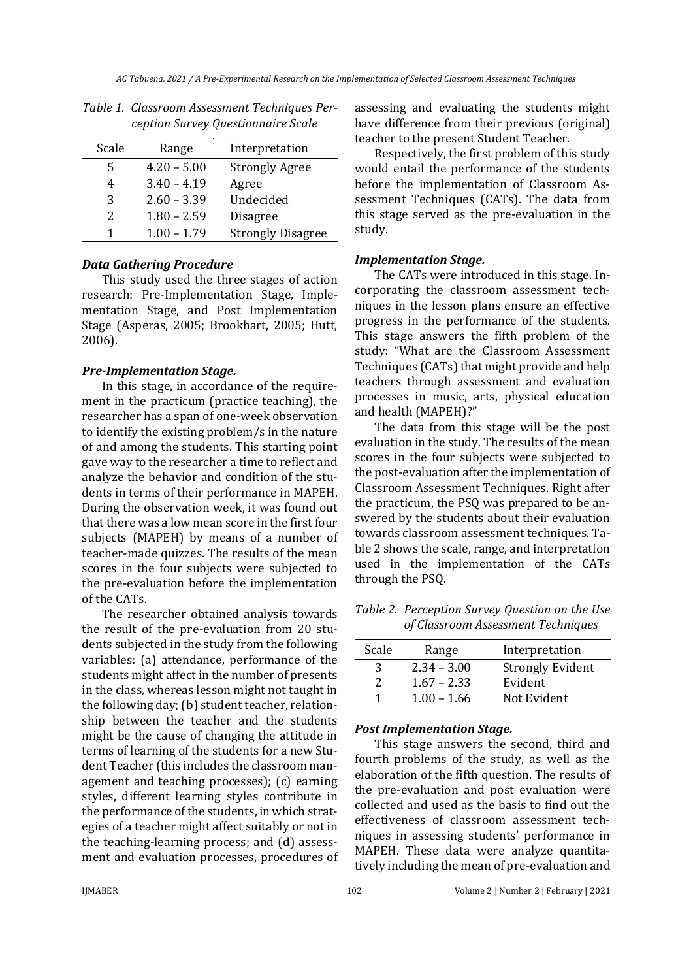| Scale | Range         | Interpretation           |
|-------|---------------|--------------------------|
| 5     | $4.20 - 5.00$ | <b>Strongly Agree</b>    |
| 4     | $3.40 - 4.19$ | Agree                    |
| 3     | $2.60 - 3.39$ | Undecided                |
| 2     | $1.80 - 2.59$ | <b>Disagree</b>          |
| 1     | $1.00 - 1.79$ | <b>Strongly Disagree</b> |

| Table 1. Classroom Assessment Techniques Per- |
|-----------------------------------------------|
| ception Survey Questionnaire Scale            |

## *Data Gathering Procedure*

This study used the three stages of action research: Pre-Implementation Stage, Implementation Stage, and Post Implementation Stage (Asperas, 2005; Brookhart, 2005; Hutt, 2006).

#### *Pre-Implementation Stage.*

In this stage, in accordance of the requirement in the practicum (practice teaching), the researcher has a span of one-week observation to identify the existing problem/s in the nature of and among the students. This starting point gave way to the researcher a time to reflect and analyze the behavior and condition of the students in terms of their performance in MAPEH. During the observation week, it was found out that there was a low mean score in the first four subjects (MAPEH) by means of a number of teacher-made quizzes. The results of the mean scores in the four subjects were subjected to the pre-evaluation before the implementation of the CATs.

The researcher obtained analysis towards the result of the pre-evaluation from 20 students subjected in the study from the following variables: (a) attendance, performance of the students might affect in the number of presents in the class, whereas lesson might not taught in the following day; (b) student teacher, relationship between the teacher and the students might be the cause of changing the attitude in terms of learning of the students for a new Student Teacher (this includes the classroom management and teaching processes); (c) earning styles, different learning styles contribute in the performance of the students, in which strategies of a teacher might affect suitably or not in the teaching-learning process; and (d) assessment and evaluation processes, procedures of

assessing and evaluating the students might have difference from their previous (original) teacher to the present Student Teacher.

Respectively, the first problem of this study would entail the performance of the students before the implementation of Classroom Assessment Techniques (CATs). The data from this stage served as the pre-evaluation in the study.

## *Implementation Stage.*

The CATs were introduced in this stage. Incorporating the classroom assessment techniques in the lesson plans ensure an effective progress in the performance of the students. This stage answers the fifth problem of the study: "What are the Classroom Assessment Techniques (CATs) that might provide and help teachers through assessment and evaluation processes in music, arts, physical education and health (MAPEH)?"

The data from this stage will be the post evaluation in the study. The results of the mean scores in the four subjects were subjected to the post-evaluation after the implementation of Classroom Assessment Techniques. Right after the practicum, the PSQ was prepared to be answered by the students about their evaluation towards classroom assessment techniques. Table 2 shows the scale, range, and interpretation used in the implementation of the CATs through the PSQ.

*Table 2. Perception Survey Question on the Use of Classroom Assessment Techniques*

| Scale | Range         | Interpretation          |
|-------|---------------|-------------------------|
| 3     | $2.34 - 3.00$ | <b>Strongly Evident</b> |
| 2     | $1.67 - 2.33$ | Evident                 |
| 1     | $1.00 - 1.66$ | Not Evident             |

## *Post Implementation Stage.*

This stage answers the second, third and fourth problems of the study, as well as the elaboration of the fifth question. The results of the pre-evaluation and post evaluation were collected and used as the basis to find out the effectiveness of classroom assessment techniques in assessing students' performance in MAPEH. These data were analyze quantitatively including the mean of pre-evaluation and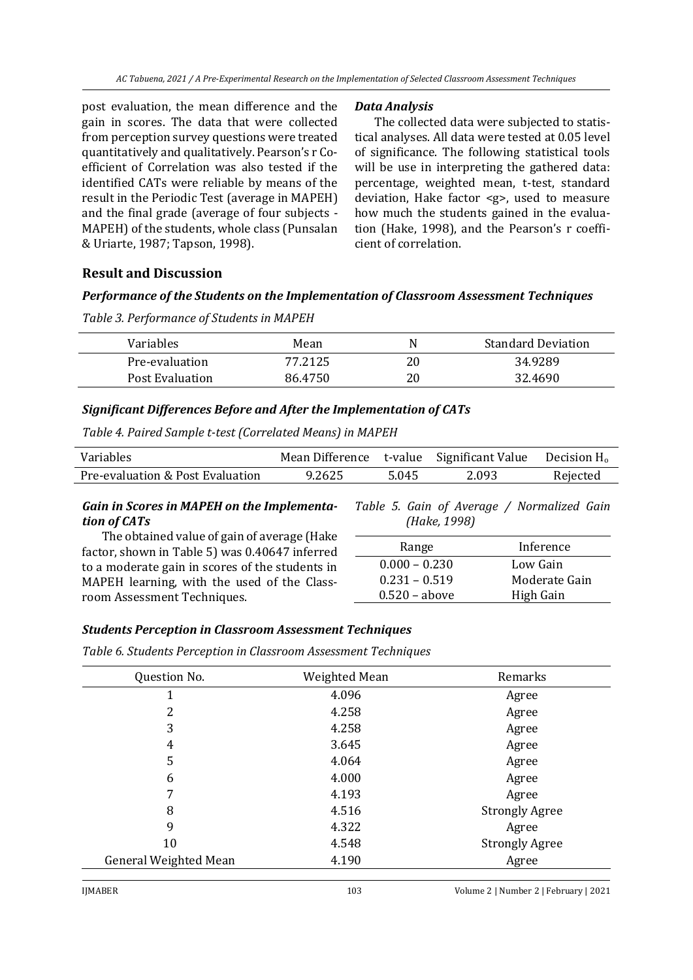post evaluation, the mean difference and the gain in scores. The data that were collected from perception survey questions were treated quantitatively and qualitatively. Pearson's r Coefficient of Correlation was also tested if the identified CATs were reliable by means of the result in the Periodic Test (average in MAPEH) and the final grade (average of four subjects - MAPEH) of the students, whole class (Punsalan & Uriarte, 1987; Tapson, 1998).

#### *Data Analysis*

The collected data were subjected to statistical analyses. All data were tested at 0.05 level of significance. The following statistical tools will be use in interpreting the gathered data: percentage, weighted mean, t-test, standard deviation, Hake factor <g>, used to measure how much the students gained in the evaluation (Hake, 1998), and the Pearson's r coefficient of correlation.

## **Result and Discussion**

#### *Performance of the Students on the Implementation of Classroom Assessment Techniques*

| Table 3. Performance of Students in MAPEH |  |
|-------------------------------------------|--|
|-------------------------------------------|--|

| Variables       | Mean    | N  | <b>Standard Deviation</b> |
|-----------------|---------|----|---------------------------|
| Pre-evaluation  | 77.2125 | 20 | 34.9289                   |
| Post Evaluation | 86.4750 | 20 | 32.4690                   |

#### *Significant Differences Before and After the Implementation of CATs*

*Table 4. Paired Sample t-test (Correlated Means) in MAPEH*

| Variables                        |        |       | Mean Difference t-value Significant Value Decision H <sub>0</sub> |          |
|----------------------------------|--------|-------|-------------------------------------------------------------------|----------|
| Pre-evaluation & Post Evaluation | 9.2625 | 5.045 | 2.093                                                             | Rejected |

#### *Gain in Scores in MAPEH on the Implementation of CATs*

*Table 5. Gain of Average / Normalized Gain (Hake, 1998)*

The obtained value of gain of average (Hake factor, shown in Table 5) was 0.40647 inferred to a moderate gain in scores of the students in MAPEH learning, with the used of the Classroom Assessment Techniques.

| Range           | Inference     |
|-----------------|---------------|
| $0.000 - 0.230$ | Low Gain      |
| $0.231 - 0.519$ | Moderate Gain |
| $0.520 - above$ | High Gain     |

## *Students Perception in Classroom Assessment Techniques*

*Table 6. Students Perception in Classroom Assessment Techniques*

| Question No.          | Weighted Mean | Remarks               |
|-----------------------|---------------|-----------------------|
| 1                     | 4.096         | Agree                 |
| 2                     | 4.258         | Agree                 |
| 3                     | 4.258         | Agree                 |
| 4                     | 3.645         | Agree                 |
| 5                     | 4.064         | Agree                 |
| 6                     | 4.000         | Agree                 |
| 7                     | 4.193         | Agree                 |
| 8                     | 4.516         | <b>Strongly Agree</b> |
| 9                     | 4.322         | Agree                 |
| 10                    | 4.548         | <b>Strongly Agree</b> |
| General Weighted Mean | 4.190         | Agree                 |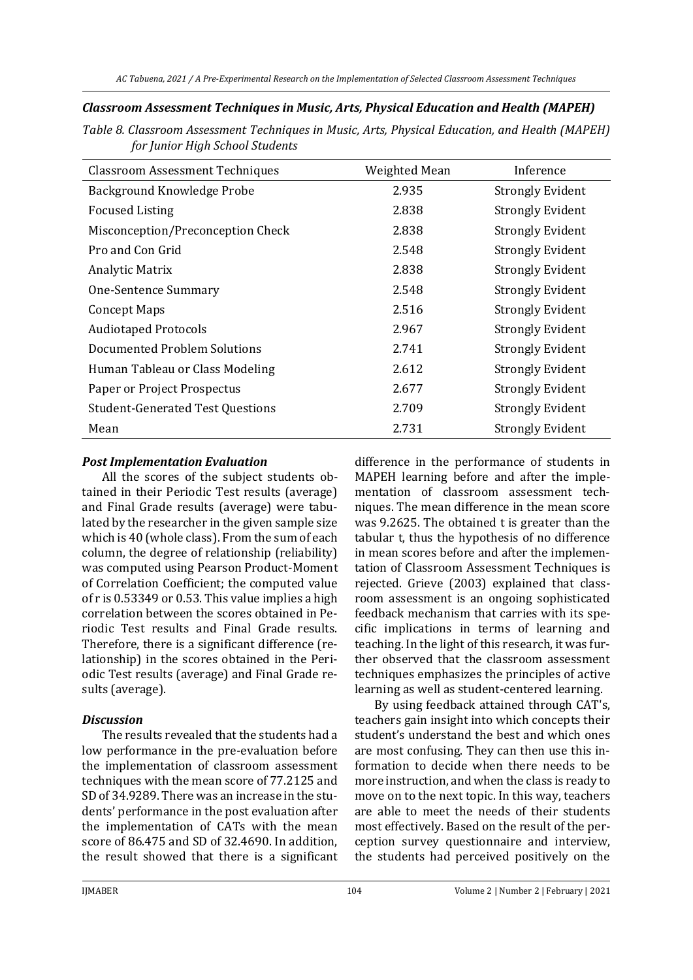#### *Classroom Assessment Techniques in Music, Arts, Physical Education and Health (MAPEH)*

*Table 8. Classroom Assessment Techniques in Music, Arts, Physical Education, and Health (MAPEH) for Junior High School Students*

| <b>Classroom Assessment Techniques</b>  | Weighted Mean | Inference               |
|-----------------------------------------|---------------|-------------------------|
| Background Knowledge Probe              | 2.935         | <b>Strongly Evident</b> |
| <b>Focused Listing</b>                  | 2.838         | <b>Strongly Evident</b> |
| Misconception/Preconception Check       | 2.838         | <b>Strongly Evident</b> |
| Pro and Con Grid                        | 2.548         | <b>Strongly Evident</b> |
| Analytic Matrix                         | 2.838         | <b>Strongly Evident</b> |
| One-Sentence Summary                    | 2.548         | <b>Strongly Evident</b> |
| <b>Concept Maps</b>                     | 2.516         | <b>Strongly Evident</b> |
| <b>Audiotaped Protocols</b>             | 2.967         | <b>Strongly Evident</b> |
| Documented Problem Solutions            | 2.741         | <b>Strongly Evident</b> |
| Human Tableau or Class Modeling         | 2.612         | <b>Strongly Evident</b> |
| Paper or Project Prospectus             | 2.677         | <b>Strongly Evident</b> |
| <b>Student-Generated Test Questions</b> | 2.709         | <b>Strongly Evident</b> |
| Mean                                    | 2.731         | <b>Strongly Evident</b> |

#### *Post Implementation Evaluation*

All the scores of the subject students obtained in their Periodic Test results (average) and Final Grade results (average) were tabulated by the researcher in the given sample size which is 40 (whole class). From the sum of each column, the degree of relationship (reliability) was computed using Pearson Product-Moment of Correlation Coefficient; the computed value of r is 0.53349 or 0.53. This value implies a high correlation between the scores obtained in Periodic Test results and Final Grade results. Therefore, there is a significant difference (relationship) in the scores obtained in the Periodic Test results (average) and Final Grade results (average).

## *Discussion*

The results revealed that the students had a low performance in the pre-evaluation before the implementation of classroom assessment techniques with the mean score of 77.2125 and SD of 34.9289. There was an increase in the students' performance in the post evaluation after the implementation of CATs with the mean score of 86.475 and SD of 32.4690. In addition, the result showed that there is a significant

difference in the performance of students in MAPEH learning before and after the implementation of classroom assessment techniques. The mean difference in the mean score was 9.2625. The obtained t is greater than the tabular t, thus the hypothesis of no difference in mean scores before and after the implementation of Classroom Assessment Techniques is rejected. Grieve (2003) explained that classroom assessment is an ongoing sophisticated feedback mechanism that carries with its specific implications in terms of learning and teaching. In the light of this research, it was further observed that the classroom assessment techniques emphasizes the principles of active learning as well as student-centered learning.

By using feedback attained through CAT's, teachers gain insight into which concepts their student's understand the best and which ones are most confusing. They can then use this information to decide when there needs to be more instruction, and when the class is ready to move on to the next topic. In this way, teachers are able to meet the needs of their students most effectively. Based on the result of the perception survey questionnaire and interview, the students had perceived positively on the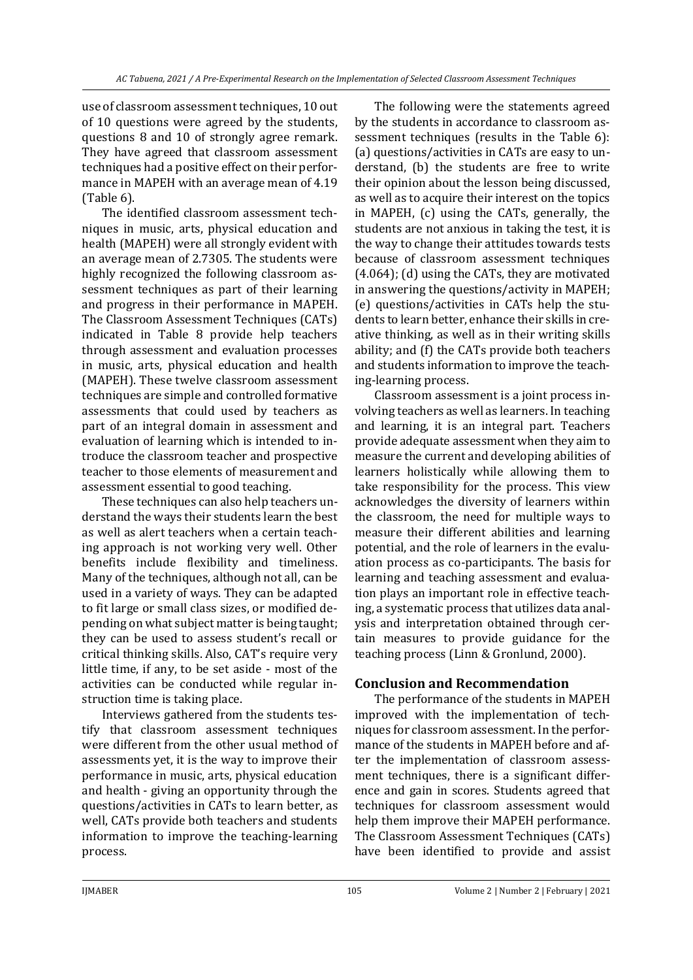use of classroom assessment techniques, 10 out of 10 questions were agreed by the students, questions 8 and 10 of strongly agree remark. They have agreed that classroom assessment techniques had a positive effect on their performance in MAPEH with an average mean of 4.19 (Table 6).

The identified classroom assessment techniques in music, arts, physical education and health (MAPEH) were all strongly evident with an average mean of 2.7305. The students were highly recognized the following classroom assessment techniques as part of their learning and progress in their performance in MAPEH. The Classroom Assessment Techniques (CATs) indicated in Table 8 provide help teachers through assessment and evaluation processes in music, arts, physical education and health (MAPEH). These twelve classroom assessment techniques are simple and controlled formative assessments that could used by teachers as part of an integral domain in assessment and evaluation of learning which is intended to introduce the classroom teacher and prospective teacher to those elements of measurement and assessment essential to good teaching.

These techniques can also help teachers understand the ways their students learn the best as well as alert teachers when a certain teaching approach is not working very well. Other benefits include flexibility and timeliness. Many of the techniques, although not all, can be used in a variety of ways. They can be adapted to fit large or small class sizes, or modified depending on what subject matter is being taught; they can be used to assess student's recall or critical thinking skills. Also, CAT's require very little time, if any, to be set aside - most of the activities can be conducted while regular instruction time is taking place.

Interviews gathered from the students testify that classroom assessment techniques were different from the other usual method of assessments yet, it is the way to improve their performance in music, arts, physical education and health - giving an opportunity through the questions/activities in CATs to learn better, as well, CATs provide both teachers and students information to improve the teaching-learning process.

The following were the statements agreed by the students in accordance to classroom assessment techniques (results in the Table 6): (a) questions/activities in CATs are easy to understand, (b) the students are free to write their opinion about the lesson being discussed, as well as to acquire their interest on the topics in MAPEH, (c) using the CATs, generally, the students are not anxious in taking the test, it is the way to change their attitudes towards tests because of classroom assessment techniques (4.064); (d) using the CATs, they are motivated in answering the questions/activity in MAPEH; (e) questions/activities in CATs help the students to learn better, enhance their skills in creative thinking, as well as in their writing skills ability; and (f) the CATs provide both teachers and students information to improve the teaching-learning process.

Classroom assessment is a joint process involving teachers as well as learners. In teaching and learning, it is an integral part. Teachers provide adequate assessment when they aim to measure the current and developing abilities of learners holistically while allowing them to take responsibility for the process. This view acknowledges the diversity of learners within the classroom, the need for multiple ways to measure their different abilities and learning potential, and the role of learners in the evaluation process as co-participants. The basis for learning and teaching assessment and evaluation plays an important role in effective teaching, a systematic process that utilizes data analysis and interpretation obtained through certain measures to provide guidance for the teaching process (Linn & Gronlund, 2000).

# **Conclusion and Recommendation**

The performance of the students in MAPEH improved with the implementation of techniques for classroom assessment. In the performance of the students in MAPEH before and after the implementation of classroom assessment techniques, there is a significant difference and gain in scores. Students agreed that techniques for classroom assessment would help them improve their MAPEH performance. The Classroom Assessment Techniques (CATs) have been identified to provide and assist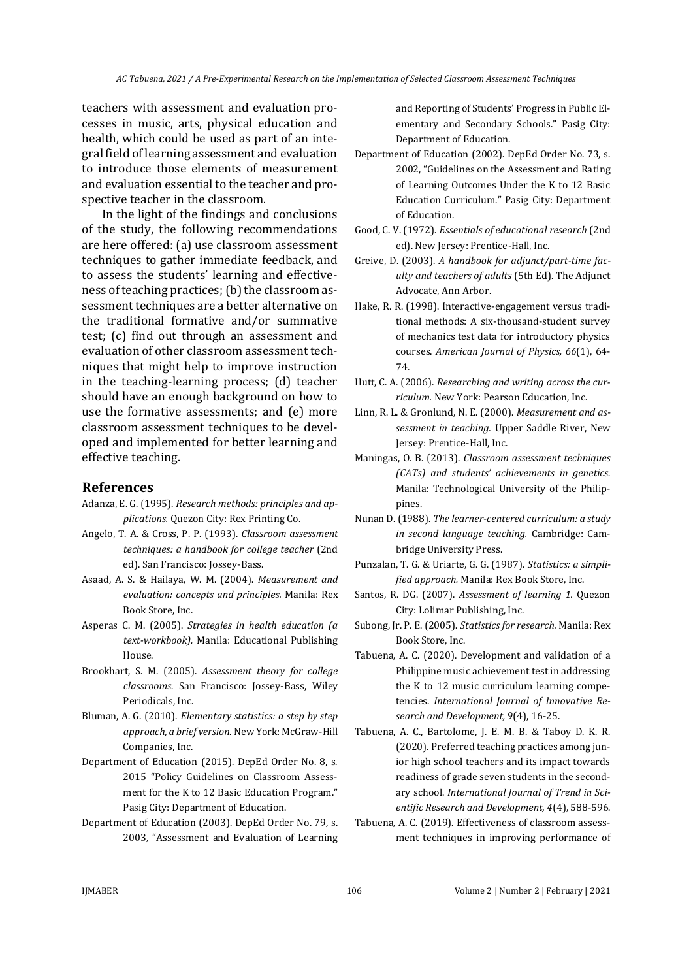teachers with assessment and evaluation processes in music, arts, physical education and health, which could be used as part of an integral field of learning assessment and evaluation to introduce those elements of measurement and evaluation essential to the teacher and prospective teacher in the classroom.

In the light of the findings and conclusions of the study, the following recommendations are here offered: (a) use classroom assessment techniques to gather immediate feedback, and to assess the students' learning and effectiveness of teaching practices; (b) the classroom assessment techniques are a better alternative on the traditional formative and/or summative test; (c) find out through an assessment and evaluation of other classroom assessment techniques that might help to improve instruction in the teaching-learning process; (d) teacher should have an enough background on how to use the formative assessments; and (e) more classroom assessment techniques to be developed and implemented for better learning and effective teaching.

#### **References**

- Adanza, E. G. (1995). *Research methods: principles and applications.* Quezon City: Rex Printing Co.
- Angelo, T. A. & Cross, P. P. (1993). *Classroom assessment techniques: a handbook for college teacher* (2nd ed). San Francisco: Jossey-Bass.
- Asaad, A. S. & Hailaya, W. M. (2004). *Measurement and evaluation: concepts and principles.* Manila: Rex Book Store, Inc.
- Asperas C. M. (2005). *Strategies in health education (a text-workbook).* Manila: Educational Publishing House.
- Brookhart, S. M. (2005). *Assessment theory for college classrooms.* San Francisco: Jossey-Bass, Wiley Periodicals, Inc.
- Bluman, A. G. (2010). *Elementary statistics: a step by step approach, a brief version.* New York: McGraw-Hill Companies, Inc.
- Department of Education (2015). DepEd Order No. 8, s. 2015 "Policy Guidelines on Classroom Assessment for the K to 12 Basic Education Program." Pasig City: Department of Education.
- Department of Education (2003). DepEd Order No. 79, s. 2003, "Assessment and Evaluation of Learning

and Reporting of Students' Progress in Public Elementary and Secondary Schools." Pasig City: Department of Education.

- Department of Education (2002). DepEd Order No. 73, s. 2002, "Guidelines on the Assessment and Rating of Learning Outcomes Under the K to 12 Basic Education Curriculum." Pasig City: Department of Education.
- Good, C. V. (1972). *Essentials of educational research* (2nd ed). New Jersey: Prentice-Hall, Inc.
- Greive, D. (2003). *A handbook for adjunct/part-time faculty and teachers of adults* (5th Ed). The Adjunct Advocate, Ann Arbor.
- Hake, R. R. (1998). Interactive-engagement versus traditional methods: A six-thousand-student survey of mechanics test data for introductory physics courses. *American Journal of Physics, 66*(1), 64- 74.
- Hutt, C. A. (2006). *Researching and writing across the curriculum.* New York: Pearson Education, Inc.
- Linn, R. L. & Gronlund, N. E. (2000). *Measurement and assessment in teaching.* Upper Saddle River, New Jersey: Prentice-Hall, Inc.
- Maningas, O. B. (2013). *Classroom assessment techniques (CATs) and students' achievements in genetics.* Manila: Technological University of the Philippines.
- Nunan D. (1988). *The learner-centered curriculum: a study in second language teaching.* Cambridge: Cambridge University Press.
- Punzalan, T. G. & Uriarte, G. G. (1987). *Statistics: a simplified approach.* Manila: Rex Book Store, Inc.
- Santos, R. DG. (2007). *Assessment of learning 1.* Quezon City: Lolimar Publishing, Inc.
- Subong, Jr. P. E. (2005). *Statistics for research.* Manila: Rex Book Store, Inc.
- Tabuena, A. C. (2020). Development and validation of a Philippine music achievement test in addressing the K to 12 music curriculum learning competencies. *International Journal of Innovative Research and Development, 9*(4), 16-25.
- Tabuena, A. C., Bartolome, J. E. M. B. & Taboy D. K. R. (2020). Preferred teaching practices among junior high school teachers and its impact towards readiness of grade seven students in the secondary school. *International Journal of Trend in Scientific Research and Development, 4*(4), 588-596.
- Tabuena, A. C. (2019). Effectiveness of classroom assessment techniques in improving performance of